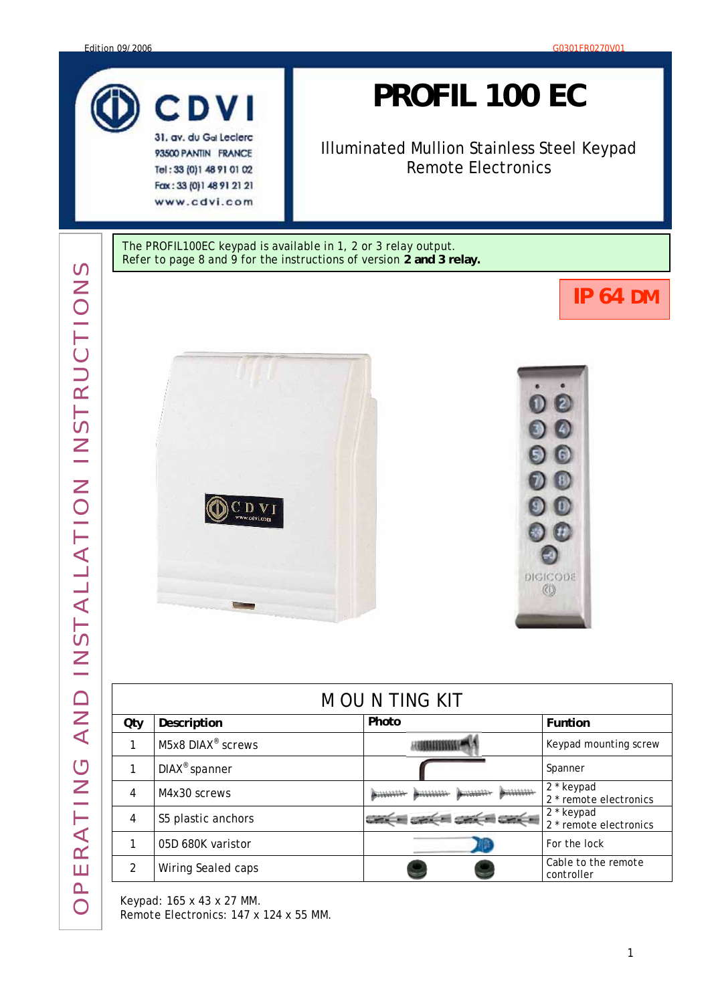

93500 PANTIN FRANCE Tel: 33 (0) 1 48 91 01 02 Fax: 33 (0) 1 48 91 21 21 www.cdvi.com

# *PROFIL 100 EC*

Illuminated Mullion Stainless Steel Keypad Remote Electronics

The PROFIL100EC keypad is available in 1, 2 or 3 relay output. Refer to page 8 and 9 for the instructions of version **2 and 3 relay.**

# **IP 64 DM**





| <b>MOUNTING KIT</b> |                               |                    |                                                 |  |  |  |  |  |
|---------------------|-------------------------------|--------------------|-------------------------------------------------|--|--|--|--|--|
| Qty                 | Description                   | Photo              | Funtion                                         |  |  |  |  |  |
|                     | M5x8 DIAX <sup>®</sup> screws |                    | Keypad mounting screw                           |  |  |  |  |  |
|                     | DIAX <sup>®</sup> spanner     |                    | Spanner                                         |  |  |  |  |  |
| 4                   | M4x30 screws                  | $+111111$<br>خشششت | 2 * keypad<br>2 <sup>*</sup> remote electronics |  |  |  |  |  |
| 4                   | S5 plastic anchors            |                    | 2 * keypad<br>2 * remote electronics            |  |  |  |  |  |
|                     | 05D 680K varistor             |                    | For the lock                                    |  |  |  |  |  |
|                     | Wiring Sealed caps            |                    | Cable to the remote<br>controller               |  |  |  |  |  |

Keypad:  $165 \times 43 \times 27$  MM.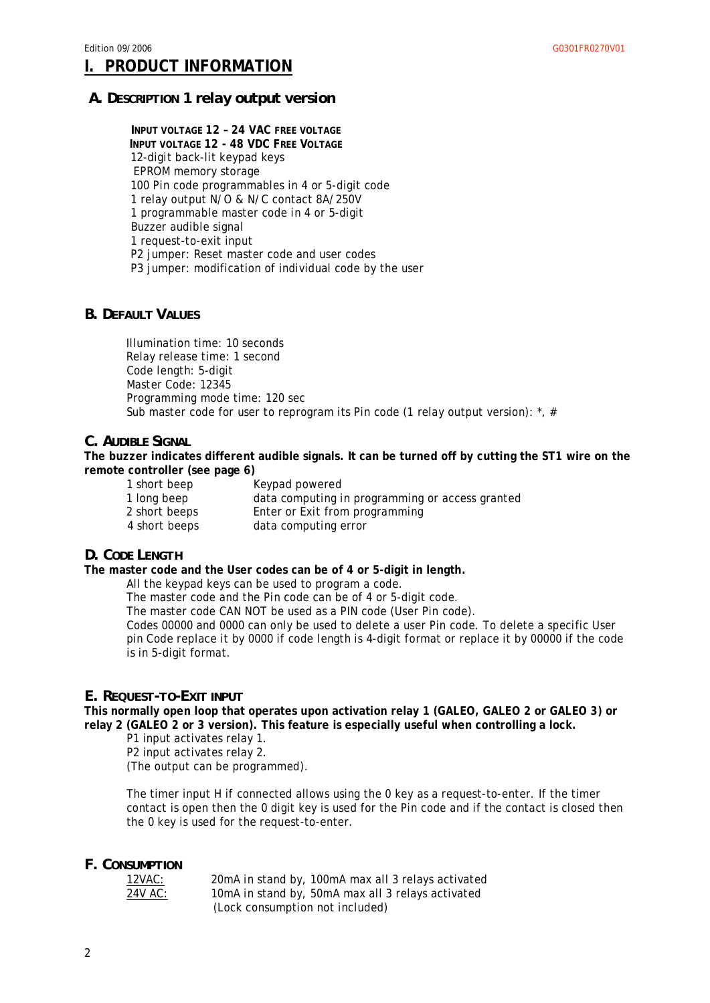#### **I. PRODUCT INFORMATION**

#### *A. DESCRIPTION 1 relay output version*

**INPUT VOLTAGE 12 – 24 VAC FREE VOLTAGE INPUT VOLTAGE 12 - 48 VDC FREE VOLTAGE** 12-digit back-lit keypad keys EPROM memory storage 100 Pin code programmables in 4 or 5-digit code 1 relay output N/O & N/C contact 8A/250V 1 programmable master code in 4 or 5-digit Buzzer audible signal 1 request-to-exit input P2 jumper: Reset master code and user codes P3 jumper: modification of individual code by the user

#### *B. DEFAULT VALUES*

Illumination time: 10 seconds Relay release time: 1 second Code length: 5-digit Master Code: 12345 Programming mode time: 120 sec Sub master code for user to reprogram its Pin code (1 relay output version):  $\alpha$ , #

#### *C. AUDIBLE SIGNAL*

**The buzzer indicates different audible signals. It can be turned off by cutting the ST1 wire on the remote controller (see page 6)** 

| 1 short beep  | Keypad powered                                  |
|---------------|-------------------------------------------------|
| 1 long beep   | data computing in programming or access granted |
| 2 short beeps | Enter or Exit from programming                  |
| 4 short beeps | data computing error                            |

#### *D. CODE LENGTH*

**The master code and the User codes can be of 4 or 5-digit in length.** 

All the keypad keys can be used to program a code.

The master code and the Pin code can be of 4 or 5-digit code.

The master code CAN NOT be used as a PIN code (User Pin code).

Codes 00000 and 0000 can only be used to delete a user Pin code. To delete a specific User pin Code replace it by 0000 if code length is 4-digit format or replace it by 00000 if the code is in 5-digit format.

#### *E. REQUEST-TO-EXIT INPUT*

**This normally open loop that operates upon activation relay 1 (GALEO, GALEO 2 or GALEO 3) or relay 2 (GALEO 2 or 3 version). This feature is especially useful when controlling a lock.** 

P1 input activates relay 1.

P2 input activates relay 2.

(The output can be programmed).

The timer input H if connected allows using the 0 key as a request-to-enter. If the timer contact is open then the 0 digit key is used for the Pin code and if the contact is closed then the 0 key is used for the request-to-enter.

#### *F. CONSUMPTION*

 12VAC: 20mA in stand by, 100mA max all 3 relays activated 24V AC: 10mA in stand by, 50mA max all 3 relays activated (Lock consumption not included)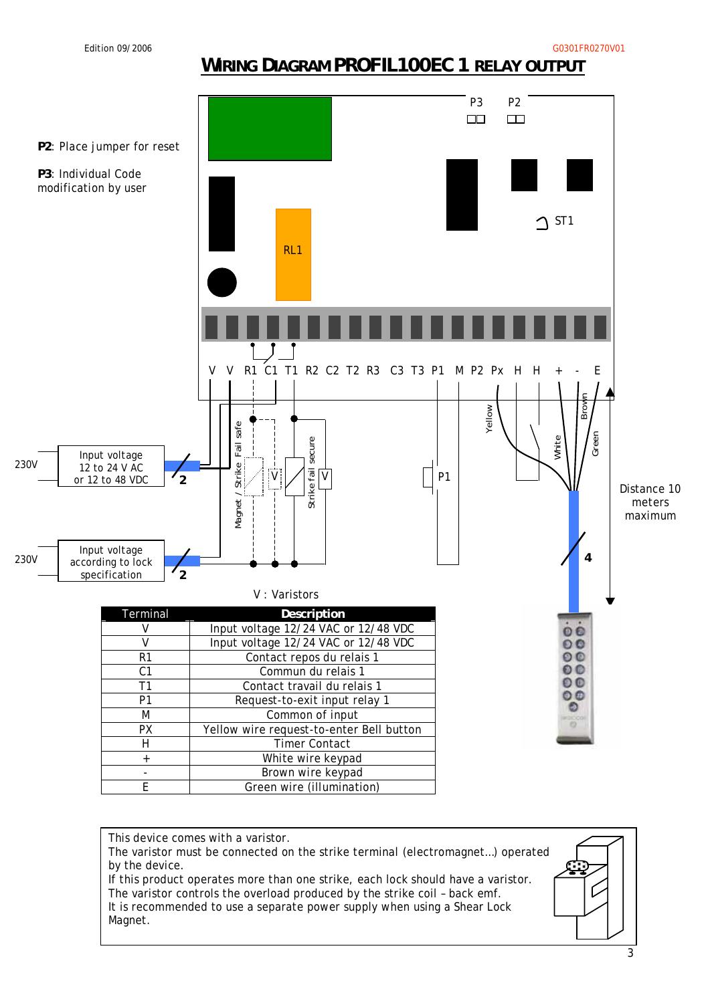# **WIRING DIAGRAM PROFIL100EC 1 RELAY OUTPUT**



This device comes with a varistor. The varistor must be connected on the strike terminal (electromagnet…) operated by the device. If this product operates more than one strike, each lock should have a varistor. The varistor controls the overload produced by the strike coil – back emf. It is recommended to use a separate power supply when using a Shear Lock Magnet.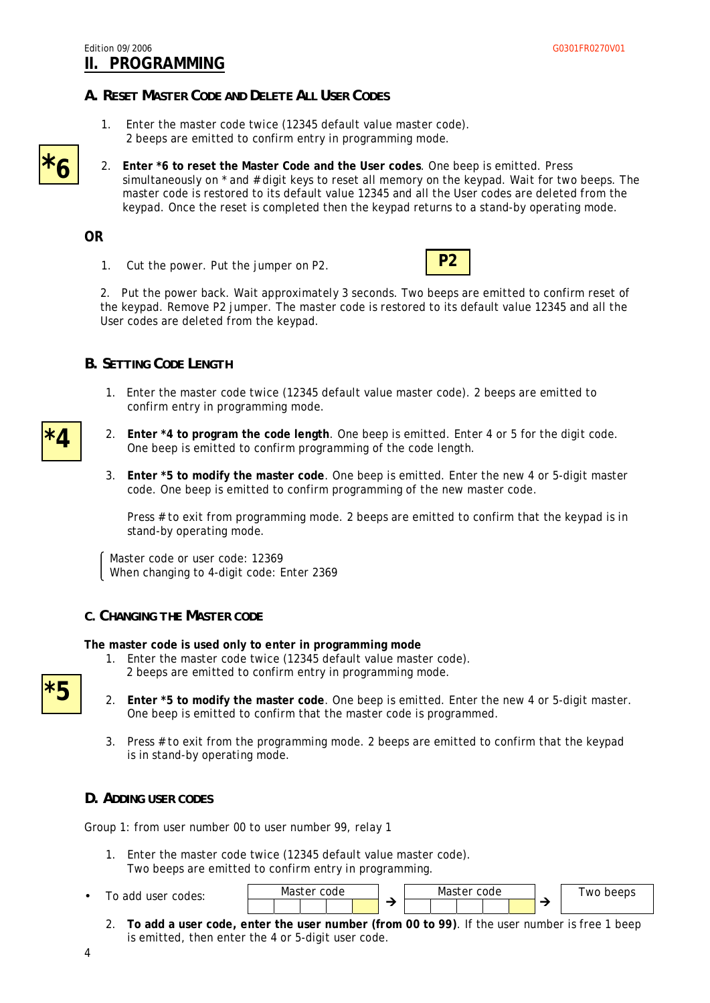#### *A. RESET MASTER CODE AND DELETE ALL USER CODES*

- 1. Enter the master code twice (12345 default value master code). 2 beeps are emitted to confirm entry in programming mode.
- 2. **Enter \*6 to reset the Master Code and the User codes**. One beep is emitted. Press simultaneously on \* and # digit keys to reset all memory on the keypad. Wait for two beeps. The master code is restored to its default value 12345 and all the User codes are deleted from the keypad. Once the reset is completed then the keypad returns to a stand-by operating mode.

#### **OR**

**\*6**

1. Cut the power. Put the jumper on P2.



2. Put the power back. Wait approximately 3 seconds. Two beeps are emitted to confirm reset of the keypad. Remove P2 jumper. The master code is restored to its default value 12345 and all the User codes are deleted from the keypad.

#### *B. SETTING CODE LENGTH*

- 1. Enter the master code twice (12345 default value master code). 2 beeps are emitted to confirm entry in programming mode.
- 2. **Enter \*4 to program the code length**. One beep is emitted. Enter 4 or 5 for the digit code. One beep is emitted to confirm programming of the code length.
	- 3. **Enter \*5 to modify the master code**. One beep is emitted. Enter the new 4 or 5-digit master code. One beep is emitted to confirm programming of the new master code.

Press # to exit from programming mode. 2 beeps are emitted to confirm that the keypad is in stand-by operating mode.

Master code or user code: 12369 When changing to 4-digit code: Enter 2369

#### *C. CHANGING THE MASTER CODE*

**The master code is used only to enter in programming mode** 

- 1. Enter the master code twice (12345 default value master code). 2 beeps are emitted to confirm entry in programming mode.
- **\*5**
- 2. **Enter \*5 to modify the master code**. One beep is emitted. Enter the new 4 or 5-digit master. One beep is emitted to confirm that the master code is programmed.
- 3. Press # to exit from the programming mode. 2 beeps are emitted to confirm that the keypad is in stand-by operating mode.

#### *D. ADDING USER CODES*

Group 1: from user number 00 to user number 99, relay 1

- 1. Enter the master code twice (12345 default value master code). Two beeps are emitted to confirm entry in programming.
- To add user codes:



2. **To add a user code, enter the user number (from 00 to 99)**. If the user number is free 1 beep is emitted, then enter the 4 or 5-digit user code.

**\*4**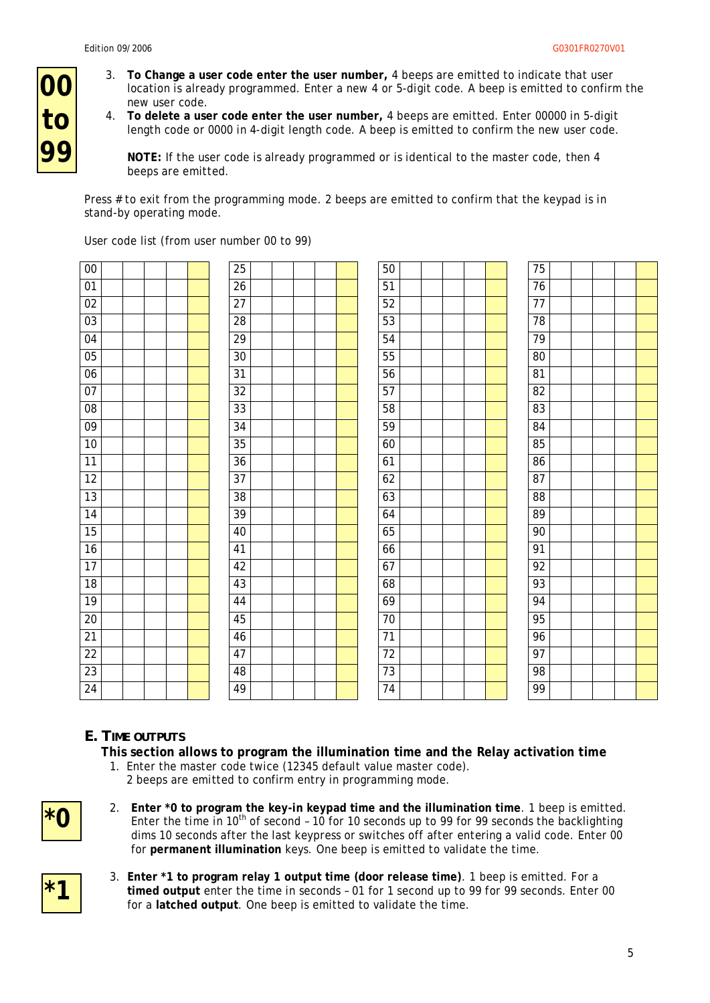**00**

**to**

**99**

- 3. **To Change a user code enter the user number,** 4 beeps are emitted to indicate that user location is already programmed. Enter a new 4 or 5-digit code. A beep is emitted to confirm the new user code.
- 4. **To delete a user code enter the user number,** 4 beeps are emitted. Enter 00000 in 5-digit length code or 0000 in 4-digit length code. A beep is emitted to confirm the new user code.

**NOTE:** If the user code is already programmed or is identical to the master code, then 4 beeps are emitted.

Press # to exit from the programming mode. 2 beeps are emitted to confirm that the keypad is in stand-by operating mode.

| 00              |  |  |  | 25 |  |  |  | 50              |  |  |  | 75              |  |  |
|-----------------|--|--|--|----|--|--|--|-----------------|--|--|--|-----------------|--|--|
| $01\,$          |  |  |  | 26 |  |  |  | 51              |  |  |  | $76\,$          |  |  |
| 02              |  |  |  | 27 |  |  |  | 52              |  |  |  | $\overline{77}$ |  |  |
| 03              |  |  |  | 28 |  |  |  | 53              |  |  |  | 78              |  |  |
| 04              |  |  |  | 29 |  |  |  | 54              |  |  |  | 79              |  |  |
| 05              |  |  |  | 30 |  |  |  | 55              |  |  |  | $80\,$          |  |  |
| 06              |  |  |  | 31 |  |  |  | 56              |  |  |  | 81              |  |  |
| 07              |  |  |  | 32 |  |  |  | 57              |  |  |  | 82              |  |  |
| ${\bf 08}$      |  |  |  | 33 |  |  |  | 58              |  |  |  | 83              |  |  |
| 09              |  |  |  | 34 |  |  |  | 59              |  |  |  | 84              |  |  |
| 10              |  |  |  | 35 |  |  |  | 60              |  |  |  | 85              |  |  |
| $\overline{11}$ |  |  |  | 36 |  |  |  | 61              |  |  |  | 86              |  |  |
| $\overline{12}$ |  |  |  | 37 |  |  |  | 62              |  |  |  | 87              |  |  |
| 13              |  |  |  | 38 |  |  |  | 63              |  |  |  | 88              |  |  |
| 14              |  |  |  | 39 |  |  |  | 64              |  |  |  | 89              |  |  |
| 15              |  |  |  | 40 |  |  |  | 65              |  |  |  | 90              |  |  |
| 16              |  |  |  | 41 |  |  |  | 66              |  |  |  | 91              |  |  |
| $\overline{17}$ |  |  |  | 42 |  |  |  | 67              |  |  |  | 92              |  |  |
| 18              |  |  |  | 43 |  |  |  | 68              |  |  |  | 93              |  |  |
| 19              |  |  |  | 44 |  |  |  | 69              |  |  |  | 94              |  |  |
| $\overline{20}$ |  |  |  | 45 |  |  |  | $70\,$          |  |  |  | 95              |  |  |
| $\overline{21}$ |  |  |  | 46 |  |  |  | $\overline{71}$ |  |  |  | 96              |  |  |
| $\overline{22}$ |  |  |  | 47 |  |  |  | $\overline{72}$ |  |  |  | $\overline{97}$ |  |  |
| 23              |  |  |  | 48 |  |  |  | 73              |  |  |  | $\overline{98}$ |  |  |
| 24              |  |  |  | 49 |  |  |  | $\overline{74}$ |  |  |  | 99              |  |  |

User code list (from user number 00 to 99)

#### *E. TIME OUTPUTS*

**This section allows to program the illumination time and the Relay activation time** 

- 1. Enter the master code twice (12345 default value master code).
	- 2 beeps are emitted to confirm entry in programming mode.
- **\*0**

**\*1**

- 2. **Enter \*0 to program the key-in keypad time and the illumination time**. 1 beep is emitted. Enter the time in 10<sup>th</sup> of second - 10 for 10 seconds up to 99 for 99 seconds the backlighting dims 10 seconds after the last keypress or switches off after entering a valid code. Enter 00 for **permanent illumination** keys. One beep is emitted to validate the time.
- 3. **Enter \*1 to program relay 1 output time (door release time)**. 1 beep is emitted. For a **timed output** enter the time in seconds – 01 for 1 second up to 99 for 99 seconds. Enter 00 for a **latched output**. One beep is emitted to validate the time.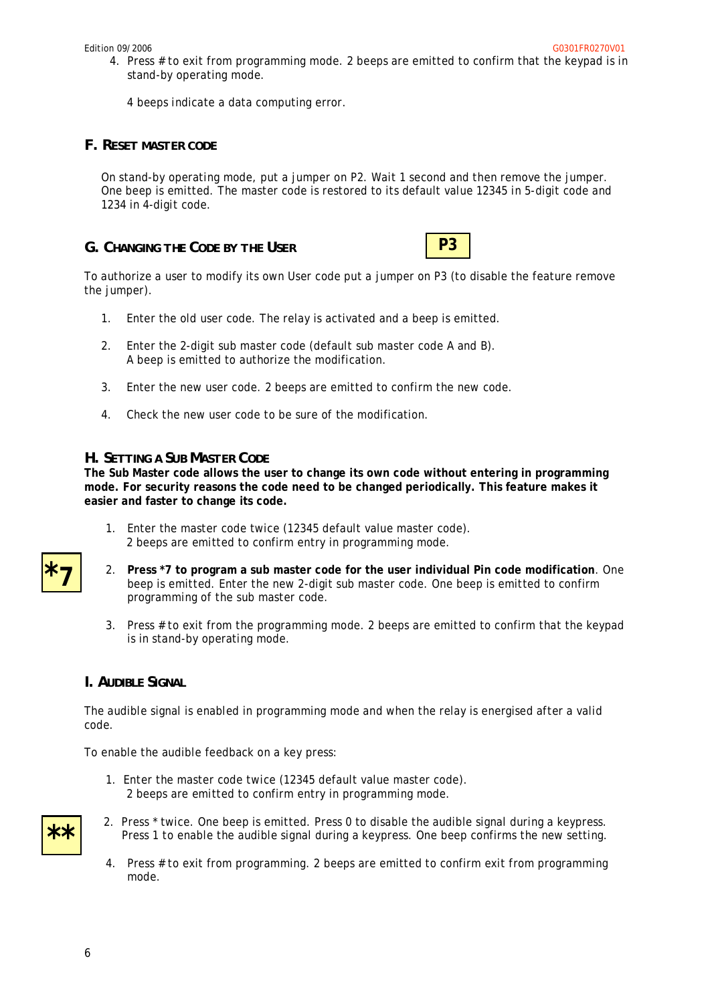4. Press # to exit from programming mode. 2 beeps are emitted to confirm that the keypad is in stand-by operating mode.

4 beeps indicate a data computing error.

#### *F. RESET MASTER CODE*

On stand-by operating mode, put a jumper on P2. Wait 1 second and then remove the jumper. One beep is emitted. The master code is restored to its default value 12345 in 5-digit code and 1234 in 4-digit code.

*G. CHANGING THE CODE BY THE USER*



To authorize a user to modify its own User code put a jumper on P3 (to disable the feature remove the jumper).

- 1. Enter the old user code. The relay is activated and a beep is emitted.
- 2. Enter the 2-digit sub master code (default sub master code A and B). A beep is emitted to authorize the modification.
- 3. Enter the new user code. 2 beeps are emitted to confirm the new code.
- 4. Check the new user code to be sure of the modification.

#### *H. SETTING A SUB MASTER CODE*

**The Sub Master code allows the user to change its own code without entering in programming mode. For security reasons the code need to be changed periodically. This feature makes it easier and faster to change its code.**

- 1. Enter the master code twice (12345 default value master code). 2 beeps are emitted to confirm entry in programming mode.
- 2. **Press \*7 to program a sub master code for the user individual Pin code modification**. One beep is emitted. Enter the new 2-digit sub master code. One beep is emitted to confirm programming of the sub master code.
- 3. Press # to exit from the programming mode. 2 beeps are emitted to confirm that the keypad is in stand-by operating mode.

#### *I. AUDIBLE SIGNAL*

The audible signal is enabled in programming mode and when the relay is energised after a valid code.

To enable the audible feedback on a key press:

1. Enter the master code twice (12345 default value master code). 2 beeps are emitted to confirm entry in programming mode.



**\*7**

- 2. Press \* twice. One beep is emitted. Press 0 to disable the audible signal during a keypress. Press 1 to enable the audible signal during a keypress. One beep confirms the new setting.
- 4. Press # to exit from programming. 2 beeps are emitted to confirm exit from programming mode.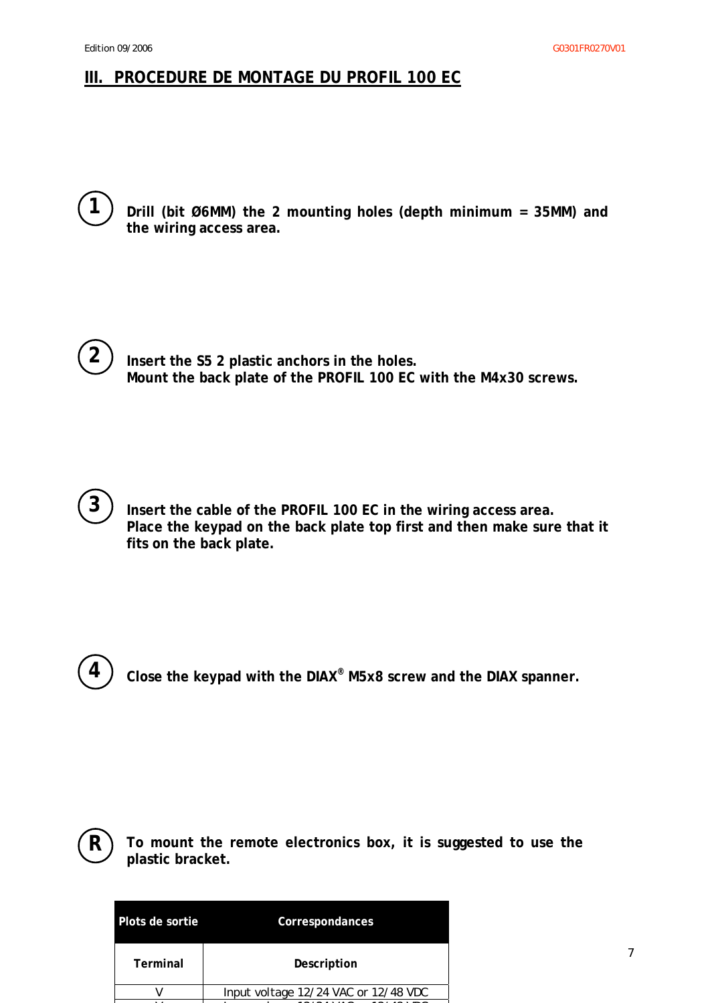## **III. PROCEDURE DE MONTAGE DU PROFIL 100 EC**



**Drill (bit Ø6MM) the 2 mounting holes (depth minimum = 35MM) and the wiring access area.** 



**Insert the S5 2 plastic anchors in the holes. Mount the back plate of the PROFIL 100 EC with the M4x30 screws.** 



**Insert the cable of the PROFIL 100 EC in the wiring access area. Place the keypad on the back plate top first and then make sure that it fits on the back plate.** 



**Close the keypad with the DIAX® M5x8 screw and the DIAX spanner.** 



**To mount the remote electronics box, it is suggested to use the plastic bracket.** 

| Plots de sortie | Correspondances                      |
|-----------------|--------------------------------------|
| Terminal        | Description                          |
|                 | Input voltage 12/24 VAC or 12/48 VDC |

V I l 12/24 VAC 12/48 VDC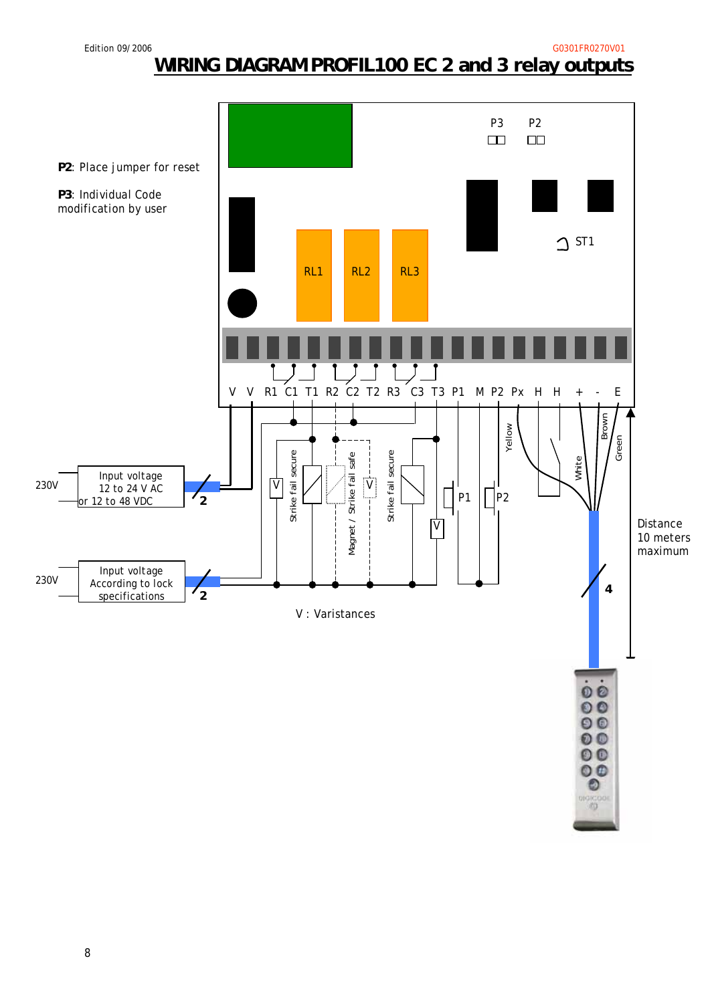Edition 09/2006 G0301FR0270V01

# **WIRING DIAGRAM PROFIL100 EC 2 and 3 relay outputs**